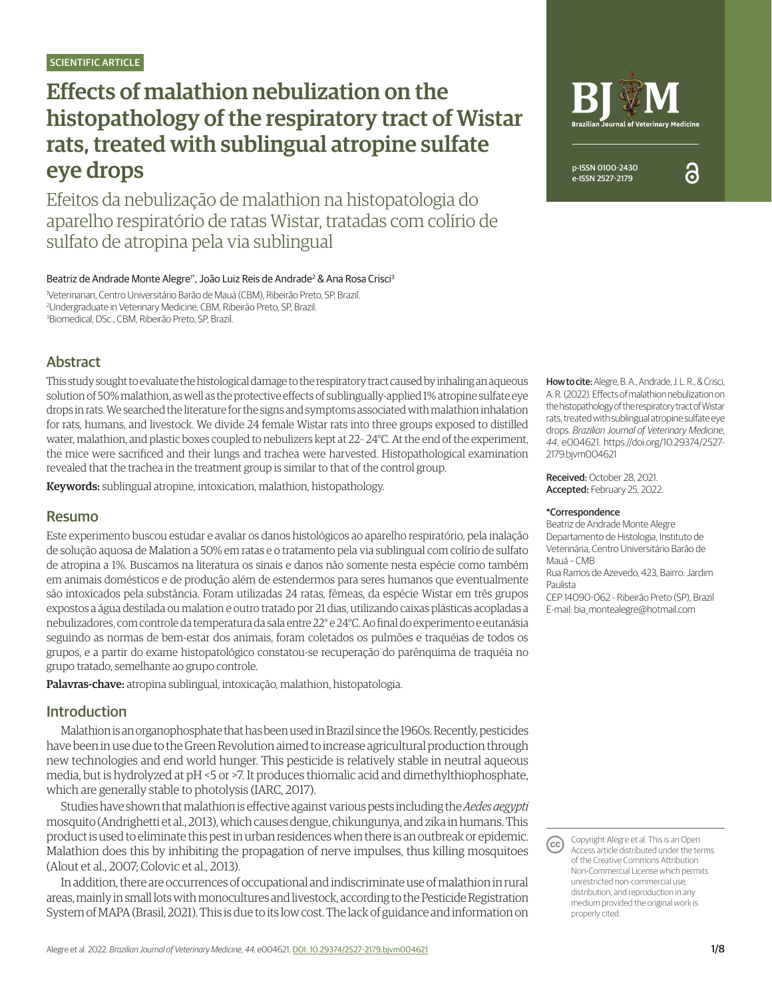# Effects of malathion nebulization on the histopathology of the respiratory tract of Wistar rats, treated with sublingual atropine sulfate eye drops

Efeitos da nebulização de malathion na histopatologia do aparelho respiratório de ratas Wistar, tratadas com colírio de sulfato de atropina pela via sublingual

Beatriz de Andrade Monte Alegre<sup>i</sup>\*, João Luiz Reis de Andrade<sup>2</sup> & Ana Rosa Crisci<sup>3</sup>

1 Veterinarian, Centro Universitário Barão de Mauá (CBM), Ribeirão Preto, SP, Brazil. 2 Undergraduate in Veterinary Medicine, CBM, Ribeirão Preto, SP, Brazil. 3 Biomedical, DSc., CBM, Ribeirão Preto, SP, Brazil.

# Abstract

This study sought to evaluate the histological damage to the respiratory tract caused by inhaling an aqueous solution of 50% malathion, as well as the protective effects of sublingually-applied 1% atropine sulfate eye drops in rats. We searched the literature for the signs and symptoms associated with malathion inhalation for rats, humans, and livestock. We divide 24 female Wistar rats into three groups exposed to distilled water, malathion, and plastic boxes coupled to nebulizers kept at 22– 24°C. At the end of the experiment, the mice were sacrificed and their lungs and trachea were harvested. Histopathological examination revealed that the trachea in the treatment group is similar to that of the control group.

Keywords: sublingual atropine, intoxication, malathion, histopathology.

#### Resumo

Este experimento buscou estudar e avaliar os danos histológicos ao aparelho respiratório, pela inalação de solução aquosa de Malation a 50% em ratas e o tratamento pela via sublingual com colírio de sulfato de atropina a 1%. Buscamos na literatura os sinais e danos não somente nesta espécie como também em animais domésticos e de produção além de estendermos para seres humanos que eventualmente são intoxicados pela substância. Foram utilizadas 24 ratas, fêmeas, da espécie Wistar em três grupos expostos a água destilada ou malation e outro tratado por 21 dias, utilizando caixas plásticas acopladas a nebulizadores, com controle da temperatura da sala entre 22° e 24°C. Ao final do experimento e eutanásia seguindo as normas de bem-estar dos animais, foram coletados os pulmões e traquéias de todos os grupos, e a partir do exame histopatológico constatou-se recuperação do parênquima de traquéia no grupo tratado, semelhante ao grupo controle.

Palavras-chave: atropina sublingual, intoxicação, malathion, histopatologia.

# Introduction

Malathion is an organophosphate that has been used in Brazil since the 1960s. Recently, pesticides have been in use due to the Green Revolution aimed to increase agricultural production through new technologies and end world hunger. This pesticide is relatively stable in neutral aqueous media, but is hydrolyzed at pH <5 or >7. It produces thiomalic acid and dimethylthiophosphate, which are generally stable to photolysis (IARC, 2017).

Studies have shown that malathion is effective against various pests including the *Aedes aegypti* mosquito (Andrighetti et al., 2013), which causes dengue, chikungunya, and zika in humans. This product is used to eliminate this pest in urban residences when there is an outbreak or epidemic. Malathion does this by inhibiting the propagation of nerve impulses, thus killing mosquitoes (Alout et al., 2007; Colovic et al., 2013).

In addition, there are occurrences of occupational and indiscriminate use of malathion in rural areas, mainly in small lots with monocultures and livestock, according to the Pesticide Registration System of MAPA (Brasil, 2021). This is due to its low cost. The lack of guidance and information on



ဥ

How to cite: Alegre, B. A., Andrade, J. L. R., & Crisci, A. R. (2022). Effects of malathion nebulization on the histopathology of the respiratory tract of Wistar rats, treated with sublingual atropine sulfate eye drops. *Brazilian Journal of Veterinary Medicine*, *44*, e004621. https://doi.org/10.29374/2527- 2179.bjvm004621

Received: October 28, 2021. Accepted: February 25, 2022.

#### \*Correspondence

Beatriz de Andrade Monte Alegre Departamento de Histologia, Instituto de Veterinária, Centro Universitário Barão de Mauá – CMB

Rua Ramos de Azevedo, 423, Bairro: Jardim **Paulista** 

CEP 14090-062 - Ribeirão Preto (SP), Brazil E-mail: bia\_montealegre@hotmail.com

Copyright Alegre et al. This is an Open  $(cc)$ Access article distributed under the terms of the Creative Commons Attribution Non-Commercial License which permits unrestricted non-commercial use, distribution, and reproduction in any medium provided the original work is properly cited.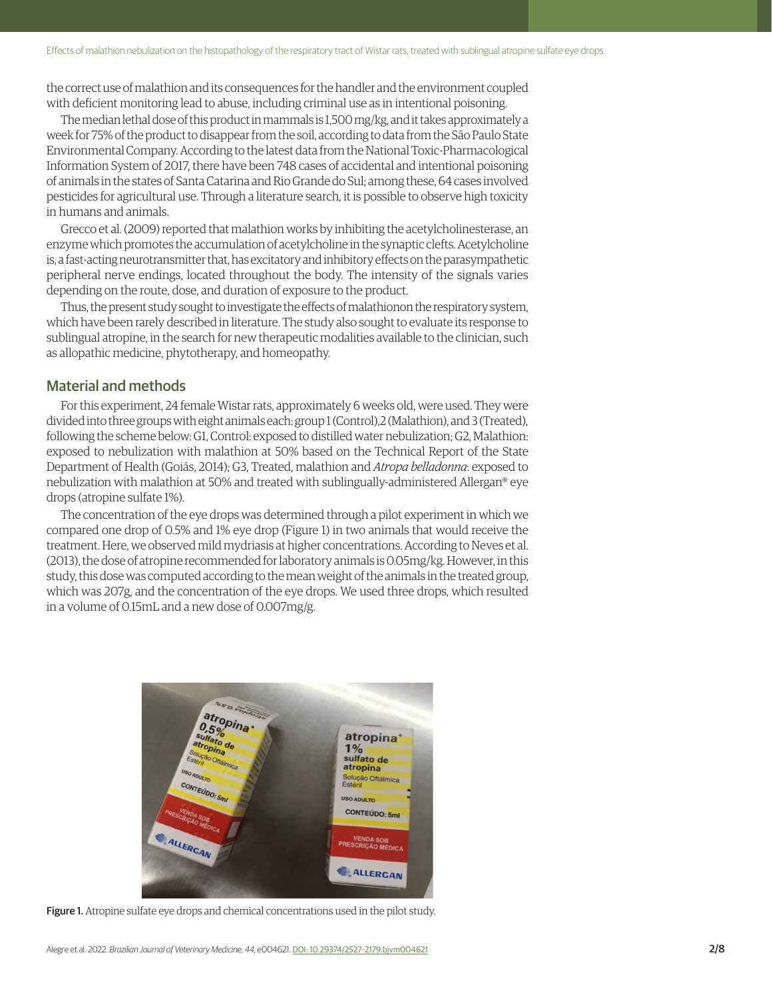the correct use of malathion and its consequences for the handler and the environment coupled with deficient monitoring lead to abuse, including criminal use as in intentional poisoning.

The median lethal dose of this product in mammals is 1,500 mg/kg, and it takes approximately a week for 75% of the product to disappear from the soil, according to data from the São Paulo State Environmental Company. According to the latest data from the National Toxic-Pharmacological Information System of 2017, there have been 748 cases of accidental and intentional poisoning of animals in the states of Santa Catarina and Rio Grande do Sul; among these, 64 cases involved pesticides for agricultural use. Through a literature search, it is possible to observe high toxicity in humans and animals.

Grecco et al. (2009) reported that malathion works by inhibiting the acetylcholinesterase, an enzyme which promotes the accumulation of acetylcholine in the synaptic clefts. Acetylcholine is, a fast-acting neurotransmitter that, has excitatory and inhibitory effects on the parasympathetic peripheral nerve endings, located throughout the body. The intensity of the signals varies depending on the route, dose, and duration of exposure to the product.

Thus, the present study sought to investigate the effects of malathionon the respiratory system, which have been rarely described in literature. The study also sought to evaluate its response to sublingual atropine, in the search for new therapeutic modalities available to the clinician, such as allopathic medicine, phytotherapy, and homeopathy.

# Material and methods

For this experiment, 24 female Wistar rats, approximately 6 weeks old, were used. They were divided into three groups with eight animals each: group 1 (Control),2 (Malathion), and 3 (Treated), following the scheme below: G1, Control: exposed to distilled water nebulization; G2, Malathion: exposed to nebulization with malathion at 50% based on the Technical Report of the State Department of Health (Goiás, 2014); G3, Treated, malathion and *Atropa belladonna*: exposed to nebulization with malathion at 50% and treated with sublingually-administered Allergan® eye drops (atropine sulfate 1%).

The concentration of the eye drops was determined through a pilot experiment in which we compared one drop of 0.5% and 1% eye drop (Figure 1) in two animals that would receive the treatment. Here, we observed mild mydriasis at higher concentrations. According to Neves et al. (2013), the dose of atropine recommended for laboratory animals is 0.05mg/kg. However, in this study, this dose was computed according to the mean weight of the animals in the treated group, which was 207g, and the concentration of the eye drops. We used three drops, which resulted in a volume of 0.15mL and a new dose of 0.007mg/g.



Figure 1. Atropine sulfate eye drops and chemical concentrations used in the pilot study.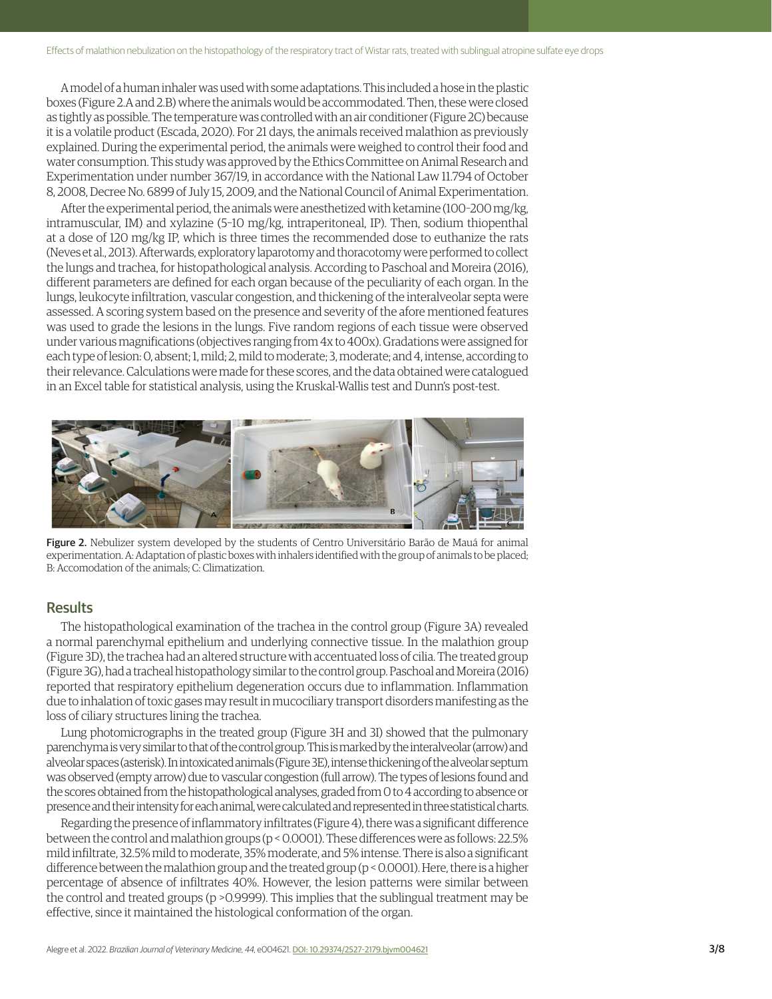A model of a human inhaler was used with some adaptations. This included a hose in the plastic boxes (Figure 2.A and 2.B) where the animals would be accommodated. Then, these were closed as tightly as possible. The temperature was controlled with an air conditioner (Figure 2C) because it is a volatile product (Escada, 2020). For 21 days, the animals received malathion as previously explained. During the experimental period, the animals were weighed to control their food and water consumption. This study was approved by the Ethics Committee on Animal Research and Experimentation under number 367/19, in accordance with the National Law 11.794 of October 8, 2008, Decree No. 6899 of July 15, 2009, and the National Council of Animal Experimentation.

After the experimental period, the animals were anesthetized with ketamine (100–200 mg/kg, intramuscular, IM) and xylazine (5–10 mg/kg, intraperitoneal, IP). Then, sodium thiopenthal at a dose of 120 mg/kg IP, which is three times the recommended dose to euthanize the rats (Neves et al., 2013). Afterwards, exploratory laparotomy and thoracotomy were performed to collect the lungs and trachea, for histopathological analysis. According to Paschoal and Moreira (2016), different parameters are defined for each organ because of the peculiarity of each organ. In the lungs, leukocyte infiltration, vascular congestion, and thickening of the interalveolar septa were assessed. A scoring system based on the presence and severity of the afore mentioned features was used to grade the lesions in the lungs. Five random regions of each tissue were observed under various magnifications (objectives ranging from 4x to 400x). Gradations were assigned for each type of lesion: 0, absent; 1, mild; 2, mild to moderate; 3, moderate; and 4, intense, according to their relevance. Calculations were made for these scores, and the data obtained were catalogued in an Excel table for statistical analysis, using the Kruskal-Wallis test and Dunn's post-test.



Figure 2. Nebulizer system developed by the students of Centro Universitário Barão de Mauá for animal experimentation. A: Adaptation of plastic boxes with inhalers identified with the group of animals to be placed; B: Accomodation of the animals; C: Climatization.

#### **Results**

The histopathological examination of the trachea in the control group (Figure 3A) revealed a normal parenchymal epithelium and underlying connective tissue. In the malathion group (Figure 3D), the trachea had an altered structure with accentuated loss of cilia. The treated group (Figure 3G), had a tracheal histopathology similar to the control group. Paschoal and Moreira (2016) reported that respiratory epithelium degeneration occurs due to inflammation. Inflammation due to inhalation of toxic gases may result in mucociliary transport disorders manifesting as the loss of ciliary structures lining the trachea.

Lung photomicrographs in the treated group (Figure 3H and 3I) showed that the pulmonary parenchyma is very similar to that of the control group. This is marked by the interalveolar (arrow) and alveolar spaces (asterisk). In intoxicated animals (Figure 3E), intense thickening of the alveolar septum was observed (empty arrow) due to vascular congestion (full arrow). The types of lesions found and the scores obtained from the histopathological analyses, graded from 0 to 4 according to absence or presence and their intensity for each animal, were calculated and represented in three statistical charts.

Regarding the presence of inflammatory infiltrates (Figure 4), there was a significant difference between the control and malathion groups (p < 0.0001). These differences were as follows: 22.5% mild infiltrate, 32.5% mild to moderate, 35% moderate, and 5% intense. There is also a significant difference between the malathion group and the treated group (p < 0.0001). Here, there is a higher percentage of absence of infiltrates 40%. However, the lesion patterns were similar between the control and treated groups (p >0.9999). This implies that the sublingual treatment may be effective, since it maintained the histological conformation of the organ.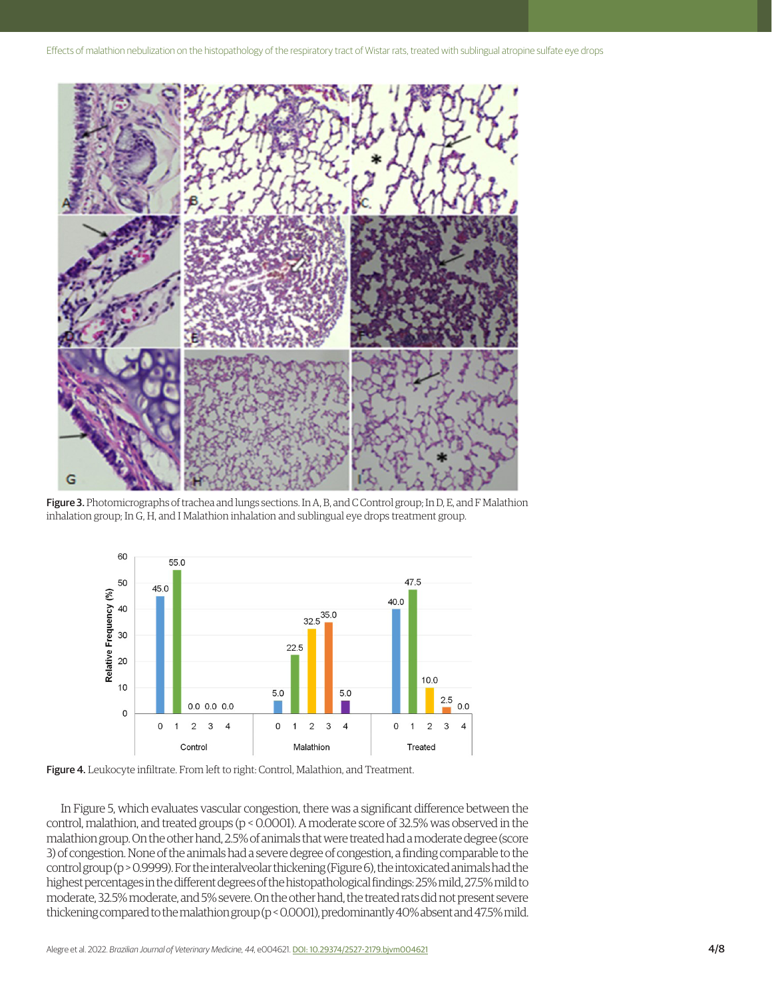

Figure 3. Photomicrographs of trachea and lungs sections. In A, B, and C Control group; In D, E, and F Malathion inhalation group; In G, H, and I Malathion inhalation and sublingual eye drops treatment group.





In Figure 5, which evaluates vascular congestion, there was a significant difference between the control, malathion, and treated groups (p < 0.0001). A moderate score of 32.5% was observed in the malathion group. On the other hand, 2.5% of animals that were treated had a moderate degree (score 3) of congestion. None of the animals had a severe degree of congestion, a finding comparable to the control group (p > 0.9999). For the interalveolar thickening (Figure 6), the intoxicated animals had the highest percentages in the different degrees of the histopathological findings: 25% mild, 27.5% mild to moderate, 32.5% moderate, and 5% severe. On the other hand, the treated rats did not present severe thickening compared to the malathion group (p < 0.0001), predominantly 40% absent and 47.5% mild.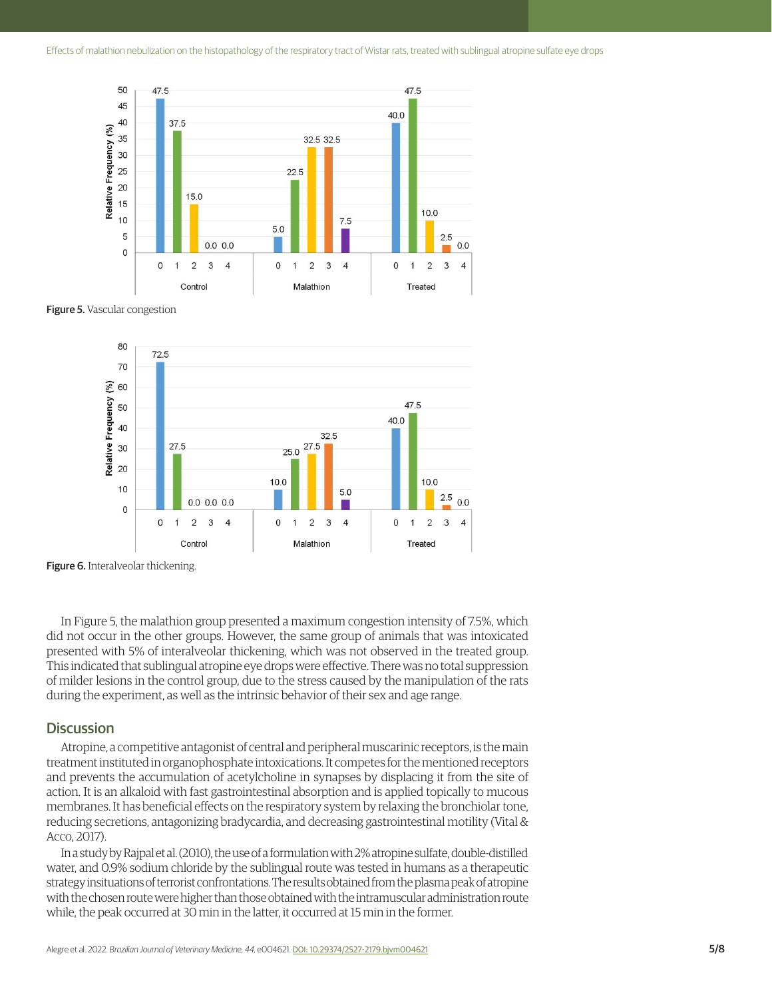

**Figure 5.** Vascular congestion



**Figure 6.** Interalveolar thickening.

In Figure 5, the malathion group presented a maximum congestion intensity of 7.5%, which did not occur in the other groups. However, the same group of animals that was intoxicated presented with 5% of interalveolar thickening, which was not observed in the treated group. This indicated that sublingual atropine eye drops were effective. There was no total suppression of milder lesions in the control group, due to the stress caused by the manipulation of the rats during the experiment, as well as the intrinsic behavior of their sex and age range.

# **Discussion**

Atropine, a competitive antagonist of central and peripheral muscarinic receptors, is the main treatment instituted in organophosphate intoxications. It competes for the mentioned receptors and prevents the accumulation of acetylcholine in synapses by displacing it from the site of action. It is an alkaloid with fast gastrointestinal absorption and is applied topically to mucous membranes. It has beneficial effects on the respiratory system by relaxing the bronchiolar tone, reducing secretions, antagonizing bradycardia, and decreasing gastrointestinal motility (Vital & Acco, 2017).

In a study by Rajpal et al. (2010), the use of a formulation with 2% atropine sulfate, double-distilled water, and 0.9% sodium chloride by the sublingual route was tested in humans as a therapeutic strategy insituations of terrorist confrontations. The results obtained from the plasma peak of atropine with the chosen route were higher than those obtained with the intramuscular administration route while, the peak occurred at 30 min in the latter, it occurred at 15 min in the former.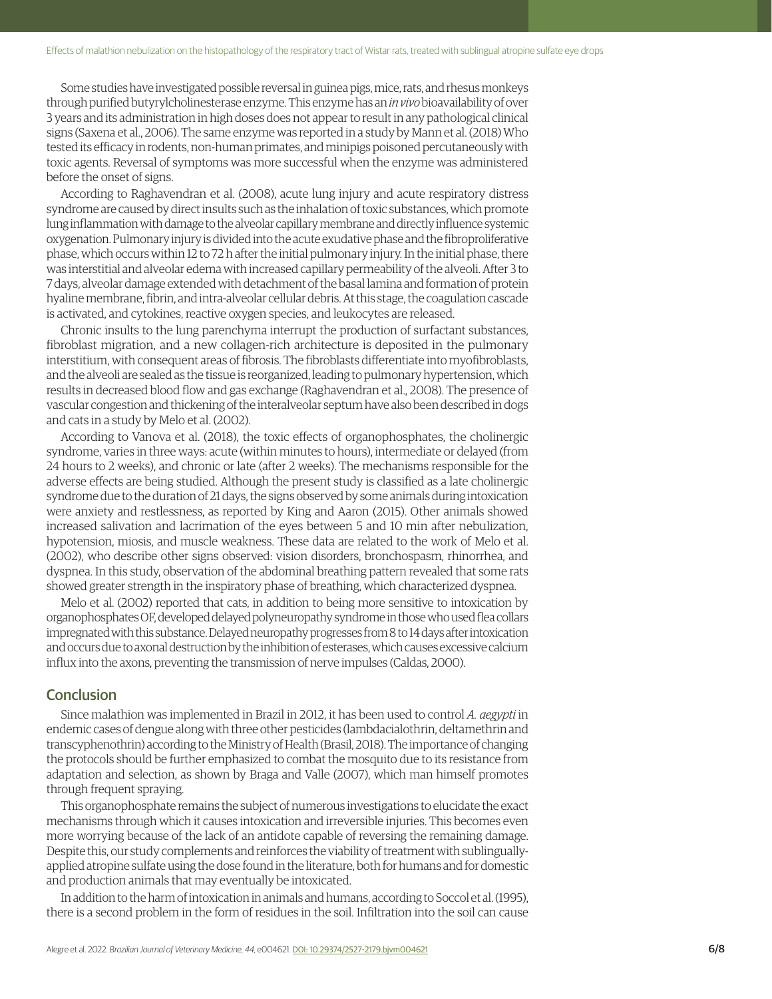Some studies have investigated possible reversal in guinea pigs, mice, rats, and rhesus monkeys through purified butyrylcholinesterase enzyme. This enzyme has an *in vivo* bioavailability of over 3 years and its administration in high doses does not appear to result in any pathological clinical signs (Saxena et al., 2006). The same enzyme was reported in a study by Mann et al. (2018) Who tested its efficacy in rodents, non-human primates, and minipigs poisoned percutaneously with toxic agents. Reversal of symptoms was more successful when the enzyme was administered before the onset of signs.

According to Raghavendran et al. (2008), acute lung injury and acute respiratory distress syndrome are caused by direct insults such as the inhalation of toxic substances, which promote lung inflammation with damage to the alveolar capillary membrane and directly influence systemic oxygenation. Pulmonary injury is divided into the acute exudative phase and the fibroproliferative phase, which occurs within 12 to 72 h after the initial pulmonary injury. In the initial phase, there was interstitial and alveolar edema with increased capillary permeability of the alveoli. After 3 to 7 days, alveolar damage extended with detachment of the basal lamina and formation of protein hyaline membrane, fibrin, and intra-alveolar cellular debris. At this stage, the coagulation cascade is activated, and cytokines, reactive oxygen species, and leukocytes are released.

Chronic insults to the lung parenchyma interrupt the production of surfactant substances, fibroblast migration, and a new collagen-rich architecture is deposited in the pulmonary interstitium, with consequent areas of fibrosis. The fibroblasts differentiate into myofibroblasts, and the alveoli are sealed as the tissue is reorganized, leading to pulmonary hypertension, which results in decreased blood flow and gas exchange (Raghavendran et al., 2008). The presence of vascular congestion and thickening of the interalveolar septum have also been described in dogs and cats in a study by Melo et al. (2002).

According to Vanova et al. (2018), the toxic effects of organophosphates, the cholinergic syndrome, varies in three ways: acute (within minutes to hours), intermediate or delayed (from 24 hours to 2 weeks), and chronic or late (after 2 weeks). The mechanisms responsible for the adverse effects are being studied. Although the present study is classified as a late cholinergic syndrome due to the duration of 21 days, the signs observed by some animals during intoxication were anxiety and restlessness, as reported by King and Aaron (2015). Other animals showed increased salivation and lacrimation of the eyes between 5 and 10 min after nebulization, hypotension, miosis, and muscle weakness. These data are related to the work of Melo et al. (2002), who describe other signs observed: vision disorders, bronchospasm, rhinorrhea, and dyspnea. In this study, observation of the abdominal breathing pattern revealed that some rats showed greater strength in the inspiratory phase of breathing, which characterized dyspnea.

Melo et al. (2002) reported that cats, in addition to being more sensitive to intoxication by organophosphates OF, developed delayed polyneuropathy syndrome in those who used flea collars impregnated with this substance. Delayed neuropathy progresses from 8 to 14 days after intoxication and occurs due to axonal destruction by the inhibition of esterases, which causes excessive calcium influx into the axons, preventing the transmission of nerve impulses (Caldas, 2000).

# **Conclusion**

Since malathion was implemented in Brazil in 2012, it has been used to control *A. aegypti* in endemic cases of dengue along with three other pesticides (lambdacialothrin, deltamethrin and transcyphenothrin) according to the Ministry of Health (Brasil, 2018). The importance of changing the protocols should be further emphasized to combat the mosquito due to its resistance from adaptation and selection, as shown by Braga and Valle (2007), which man himself promotes through frequent spraying.

This organophosphate remains the subject of numerous investigations to elucidate the exact mechanisms through which it causes intoxication and irreversible injuries. This becomes even more worrying because of the lack of an antidote capable of reversing the remaining damage. Despite this, our study complements and reinforces the viability of treatment with sublinguallyapplied atropine sulfate using the dose found in the literature, both for humans and for domestic and production animals that may eventually be intoxicated.

In addition to the harm of intoxication in animals and humans, according to Soccol et al. (1995), there is a second problem in the form of residues in the soil. Infiltration into the soil can cause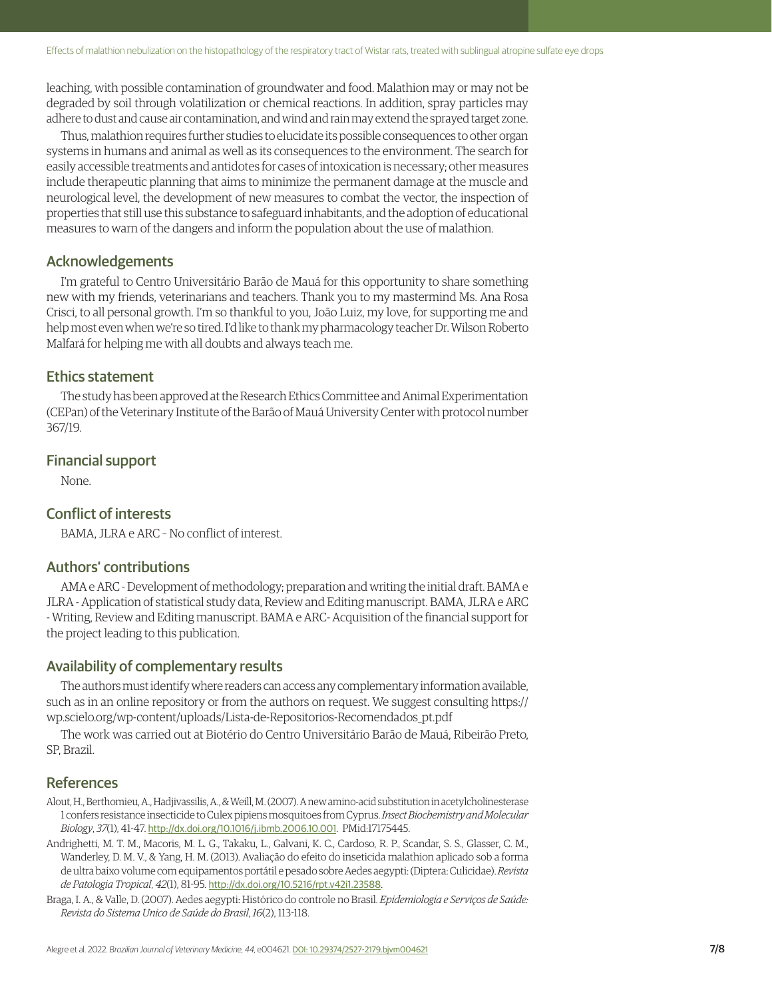leaching, with possible contamination of groundwater and food. Malathion may or may not be degraded by soil through volatilization or chemical reactions. In addition, spray particles may adhere to dust and cause air contamination, and wind and rain may extend the sprayed target zone.

Thus, malathion requires further studies to elucidate its possible consequences to other organ systems in humans and animal as well as its consequences to the environment. The search for easily accessible treatments and antidotes for cases of intoxication is necessary; other measures include therapeutic planning that aims to minimize the permanent damage at the muscle and neurological level, the development of new measures to combat the vector, the inspection of properties that still use this substance to safeguard inhabitants, and the adoption of educational measures to warn of the dangers and inform the population about the use of malathion.

# Acknowledgements

I'm grateful to Centro Universitário Barão de Mauá for this opportunity to share something new with my friends, veterinarians and teachers. Thank you to my mastermind Ms. Ana Rosa Crisci, to all personal growth. I'm so thankful to you, João Luiz, my love, for supporting me and help most even when we're so tired. I'd like to thank my pharmacology teacher Dr. Wilson Roberto Malfará for helping me with all doubts and always teach me.

# Ethics statement

The study has been approved at the Research Ethics Committee and Animal Experimentation (CEPan) of the Veterinary Institute of the Barão of Mauá University Center with protocol number 367/19.

# Financial support

None.

# Conflict of interests

BAMA, JLRA e ARC – No conflict of interest.

# Authors' contributions

AMA e ARC - Development of methodology; preparation and writing the initial draft. BAMA e JLRA - Application of statistical study data, Review and Editing manuscript. BAMA, JLRA e ARC - Writing, Review and Editing manuscript. BAMA e ARC- Acquisition of the financial support for the project leading to this publication.

# Availability of complementary results

The authors must identify where readers can access any complementary information available, such as in an online repository or from the authors on request. We suggest consulting [https://](https://wp.scielo.org/wp-content/uploads/Lista-de-Repositorios-Recomendados_pt.pdf) [wp.scielo.org/wp-content/uploads/Lista-de-Repositorios-Recomendados\\_pt.pdf](https://wp.scielo.org/wp-content/uploads/Lista-de-Repositorios-Recomendados_pt.pdf)

The work was carried out at Biotério do Centro Universitário Barão de Mauá, Ribeirão Preto, SP, Brazil.

# References

- Alout, H., Berthomieu, A., Hadjivassilis, A., & Weill, M. (2007). A new amino-acid substitution in acetylcholinesterase 1 confers resistance insecticide to Culex pipiens mosquitoes from Cyprus. *Insect Biochemistry and Molecular Biology*, *37*(1), 41-47. [http://dx.doi.org/10.1016/j.ibmb.2006.10.001](https://doi.org/10.1016/j.ibmb.2006.10.001). [PMid:17175445.](https://www.ncbi.nlm.nih.gov/entrez/query.fcgi?cmd=Retrieve&db=PubMed&list_uids=17175445&dopt=Abstract)
- Andrighetti, M. T. M., Macoris, M. L. G., Takaku, L., Galvani, K. C., Cardoso, R. P., Scandar, S. S., Glasser, C. M., Wanderley, D. M. V., & Yang, H. M. (2013). Avaliação do efeito do inseticida malathion aplicado sob a forma de ultra baixo volume com equipamentos portátil e pesado sobre Aedes aegypti: (Diptera: Culicidae). *Revista de Patologia Tropical*, *42*(1), 81-95. [http://dx.doi.org/10.5216/rpt.v42i1.23588](https://doi.org/10.5216/rpt.v42i1.23588).
- Braga, I. A., & Valle, D. (2007). Aedes aegypti: Histórico do controle no Brasil. *Epidemiologia e Serviços de Saúde: Revista do Sistema Unico de Saúde do Brasil*, *16*(2), 113-118.